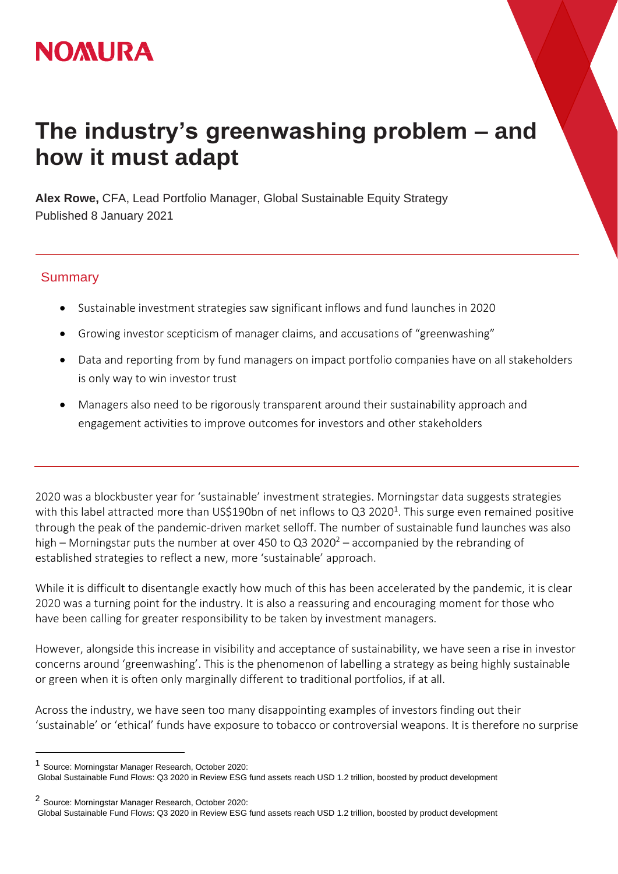## **NOMURA**

## **The industry's greenwashing problem – and how it must adapt**

**Alex Rowe,** CFA, Lead Portfolio Manager, Global Sustainable Equity Strategy Published 8 January 2021

## **Summary**

- Sustainable investment strategies saw significant inflows and fund launches in 2020
- Growing investor scepticism of manager claims, and accusations of "greenwashing"
- Data and reporting from by fund managers on impact portfolio companies have on all stakeholders is only way to win investor trust
- Managers also need to be rigorously transparent around their sustainability approach and engagement activities to improve outcomes for investors and other stakeholders

2020 was a blockbuster year for 'sustainable' investment strategies. Morningstar data suggests strategies with this label attracted more than US\$190bn of net inflows to Q3 2020<sup>1</sup>. This surge even remained positive through the peak of the pandemic-driven market selloff. The number of sustainable fund launches was also high – Morningstar puts the number at over 450 to Q3 2020<sup>2</sup> – accompanied by the rebranding of established strategies to reflect a new, more 'sustainable' approach.

While it is difficult to disentangle exactly how much of this has been accelerated by the pandemic, it is clear 2020 was a turning point for the industry. It is also a reassuring and encouraging moment for those who have been calling for greater responsibility to be taken by investment managers.

However, alongside this increase in visibility and acceptance of sustainability, we have seen a rise in investor concerns around 'greenwashing'. This is the phenomenon of labelling a strategy as being highly sustainable or green when it is often only marginally different to traditional portfolios, if at all.

Across the industry, we have seen too many disappointing examples of investors finding out their 'sustainable' or 'ethical' funds have exposure to tobacco or controversial weapons. It is therefore no surprise

 $\overline{a}$ 

<sup>1</sup> Source: Morningstar Manager Research, October 2020:

Global Sustainable Fund Flows: Q3 2020 in Review ESG fund assets reach USD 1.2 trillion, boosted by product development

<sup>2</sup> Source: Morningstar Manager Research, October 2020:

Global Sustainable Fund Flows: Q3 2020 in Review ESG fund assets reach USD 1.2 trillion, boosted by product development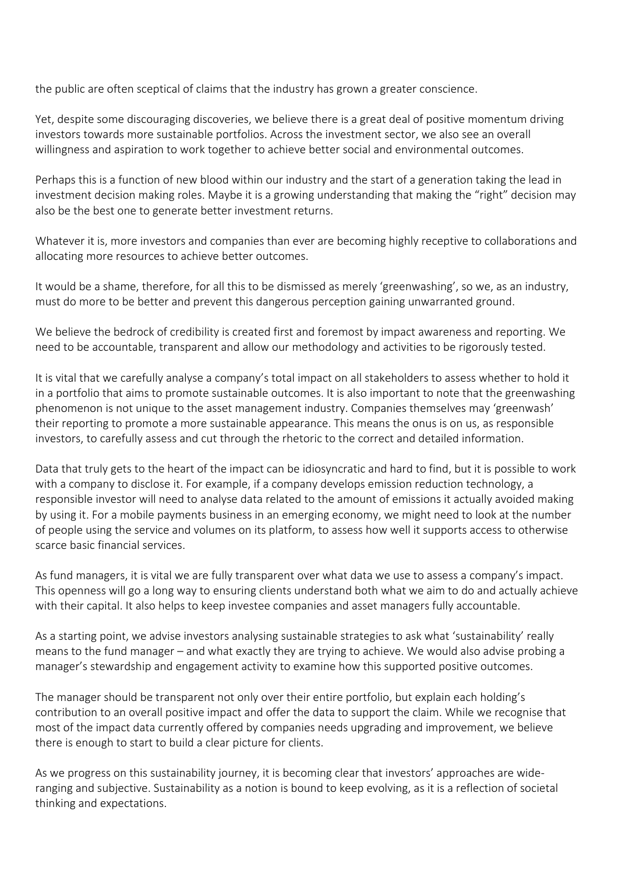the public are often sceptical of claims that the industry has grown a greater conscience.

Yet, despite some discouraging discoveries, we believe there is a great deal of positive momentum driving investors towards more sustainable portfolios. Across the investment sector, we also see an overall willingness and aspiration to work together to achieve better social and environmental outcomes.

Perhaps this is a function of new blood within our industry and the start of a generation taking the lead in investment decision making roles. Maybe it is a growing understanding that making the "right" decision may also be the best one to generate better investment returns.

Whatever it is, more investors and companies than ever are becoming highly receptive to collaborations and allocating more resources to achieve better outcomes.

It would be a shame, therefore, for all this to be dismissed as merely 'greenwashing', so we, as an industry, must do more to be better and prevent this dangerous perception gaining unwarranted ground.

We believe the bedrock of credibility is created first and foremost by impact awareness and reporting. We need to be accountable, transparent and allow our methodology and activities to be rigorously tested.

It is vital that we carefully analyse a company's total impact on all stakeholders to assess whether to hold it in a portfolio that aims to promote sustainable outcomes. It is also important to note that the greenwashing phenomenon is not unique to the asset management industry. Companies themselves may 'greenwash' their reporting to promote a more sustainable appearance. This means the onus is on us, as responsible investors, to carefully assess and cut through the rhetoric to the correct and detailed information.

Data that truly gets to the heart of the impact can be idiosyncratic and hard to find, but it is possible to work with a company to disclose it. For example, if a company develops emission reduction technology, a responsible investor will need to analyse data related to the amount of emissions it actually avoided making by using it. For a mobile payments business in an emerging economy, we might need to look at the number of people using the service and volumes on its platform, to assess how well it supports access to otherwise scarce basic financial services.

As fund managers, it is vital we are fully transparent over what data we use to assess a company's impact. This openness will go a long way to ensuring clients understand both what we aim to do and actually achieve with their capital. It also helps to keep investee companies and asset managers fully accountable.

As a starting point, we advise investors analysing sustainable strategies to ask what 'sustainability' really means to the fund manager – and what exactly they are trying to achieve. We would also advise probing a manager's stewardship and engagement activity to examine how this supported positive outcomes.

The manager should be transparent not only over their entire portfolio, but explain each holding's contribution to an overall positive impact and offer the data to support the claim. While we recognise that most of the impact data currently offered by companies needs upgrading and improvement, we believe there is enough to start to build a clear picture for clients.

As we progress on this sustainability journey, it is becoming clear that investors' approaches are wideranging and subjective. Sustainability as a notion is bound to keep evolving, as it is a reflection of societal thinking and expectations.